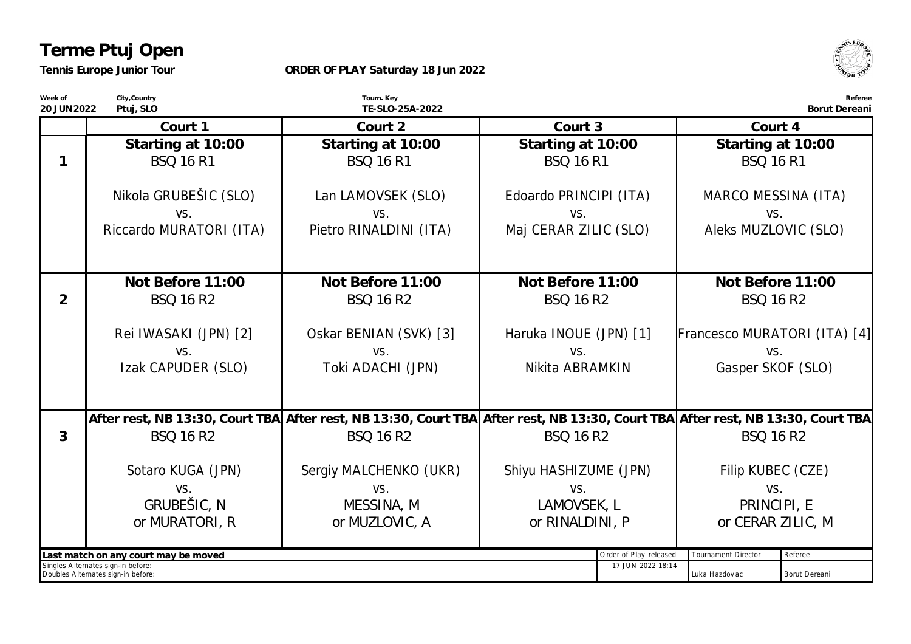## **Terme Ptuj Open**

*Tennis Europe Junior Tour*

## **ORDER OF PLAY Saturday 18 Jun 2022**



**Week of 20 JUN2022 City,Country Ptuj, SLO Tourn. Key TE-SLO-25A-2022 Referee Borut Dereani Court 1 Starting at 10:00** *BSQ 16 R1* Nikola GRUBEŠIC (SLO) vs. Riccardo MURATORI (ITA) **Court 2 Starting at 10:00** *BSQ 16 R1* Lan LAMOVSEK (SLO) vs. Pietro RINALDINI (ITA) **Court 3 Starting at 10:00** *BSQ 16 R1* Edoardo PRINCIPI (ITA) vs. Maj CERAR ZILIC (SLO) **Court 4 Starting at 10:00** *BSQ 16 R1* MARCO MESSINA (ITA) vs. Aleks MUZLOVIC (SLO) **1 Not Before 11:00** *BSQ 16 R2* Rei IWASAKI (JPN) [2] vs. Izak CAPUDER (SLO) **Not Before 11:00** *BSQ 16 R2* Oskar BENIAN (SVK) [3] vs. Toki ADACHI (JPN) **Not Before 11:00** *BSQ 16 R2* Haruka INOUE (JPN) [1] vs. Nikita ABRAMKIN **Not Before 11:00** *BSQ 16 R2* Francesco MURATORI (ITA) [4] vs. Gasper SKOF (SLO) **2** After rest, NB 13:30, Court TBA|After rest, NB 13:30, Court TBA|After rest, NB 13:30, Court TBA|After rest, NB 13:30, Court TBA *BSQ 16 R2* Sotaro KUGA (JPN) vs. *GRUBEŠIC, N or MURATORI, R BSQ 16 R2* Sergiy MALCHENKO (UKR) vs. *MESSINA, M or MUZLOVIC, A BSQ 16 R2* Shiyu HASHIZUME (JPN) vs. *LAMOVSEK, L or RINALDINI, P BSQ 16 R2* Filip KUBEC (CZE) vs. *PRINCIPI, E or CERAR ZILIC, M* **3** Last match on any court may be moved **been and the example of Play released** Tournament Director Referee Singles A lternates sign-in before: Doubles A lternates sign-in before: 17 JUN 2022 18:14 Luka Hazdov ac **Borut Dereani**